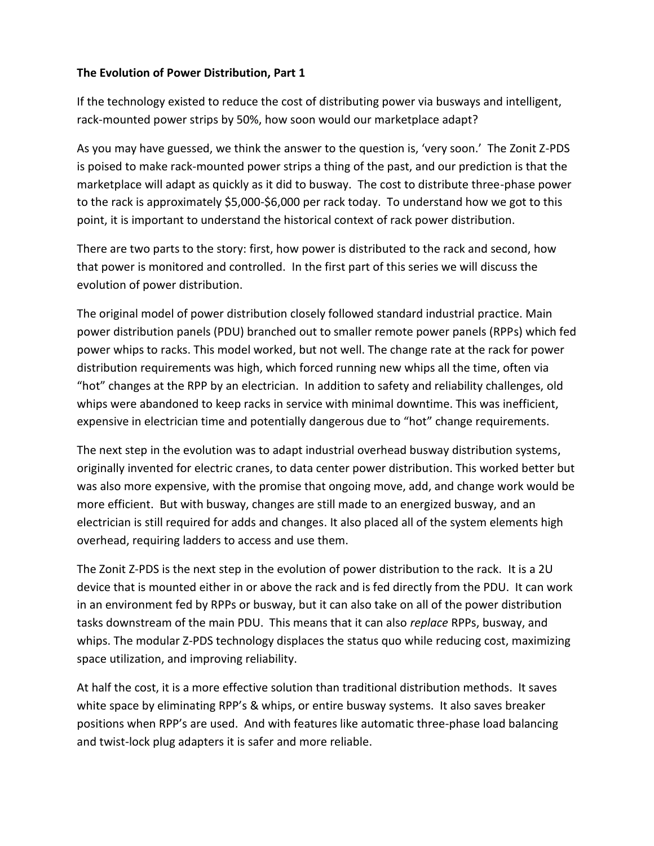## **The Evolution of Power Distribution, Part 1**

If the technology existed to reduce the cost of distributing power via busways and intelligent, rack-mounted power strips by 50%, how soon would our marketplace adapt?

As you may have guessed, we think the answer to the question is, 'very soon.' The Zonit Z-PDS is poised to make rack-mounted power strips a thing of the past, and our prediction is that the marketplace will adapt as quickly as it did to busway. The cost to distribute three-phase power to the rack is approximately \$5,000-\$6,000 per rack today. To understand how we got to this point, it is important to understand the historical context of rack power distribution.

There are two parts to the story: first, how power is distributed to the rack and second, how that power is monitored and controlled. In the first part of this series we will discuss the evolution of power distribution.

The original model of power distribution closely followed standard industrial practice. Main power distribution panels (PDU) branched out to smaller remote power panels (RPPs) which fed power whips to racks. This model worked, but not well. The change rate at the rack for power distribution requirements was high, which forced running new whips all the time, often via "hot" changes at the RPP by an electrician. In addition to safety and reliability challenges, old whips were abandoned to keep racks in service with minimal downtime. This was inefficient, expensive in electrician time and potentially dangerous due to "hot" change requirements.

The next step in the evolution was to adapt industrial overhead busway distribution systems, originally invented for electric cranes, to data center power distribution. This worked better but was also more expensive, with the promise that ongoing move, add, and change work would be more efficient. But with busway, changes are still made to an energized busway, and an electrician is still required for adds and changes. It also placed all of the system elements high overhead, requiring ladders to access and use them.

The Zonit Z-PDS is the next step in the evolution of power distribution to the rack. It is a 2U device that is mounted either in or above the rack and is fed directly from the PDU. It can work in an environment fed by RPPs or busway, but it can also take on all of the power distribution tasks downstream of the main PDU. This means that it can also *replace* RPPs, busway, and whips. The modular Z-PDS technology displaces the status quo while reducing cost, maximizing space utilization, and improving reliability.

At half the cost, it is a more effective solution than traditional distribution methods. It saves white space by eliminating RPP's & whips, or entire busway systems. It also saves breaker positions when RPP's are used. And with features like automatic three-phase load balancing and twist-lock plug adapters it is safer and more reliable.